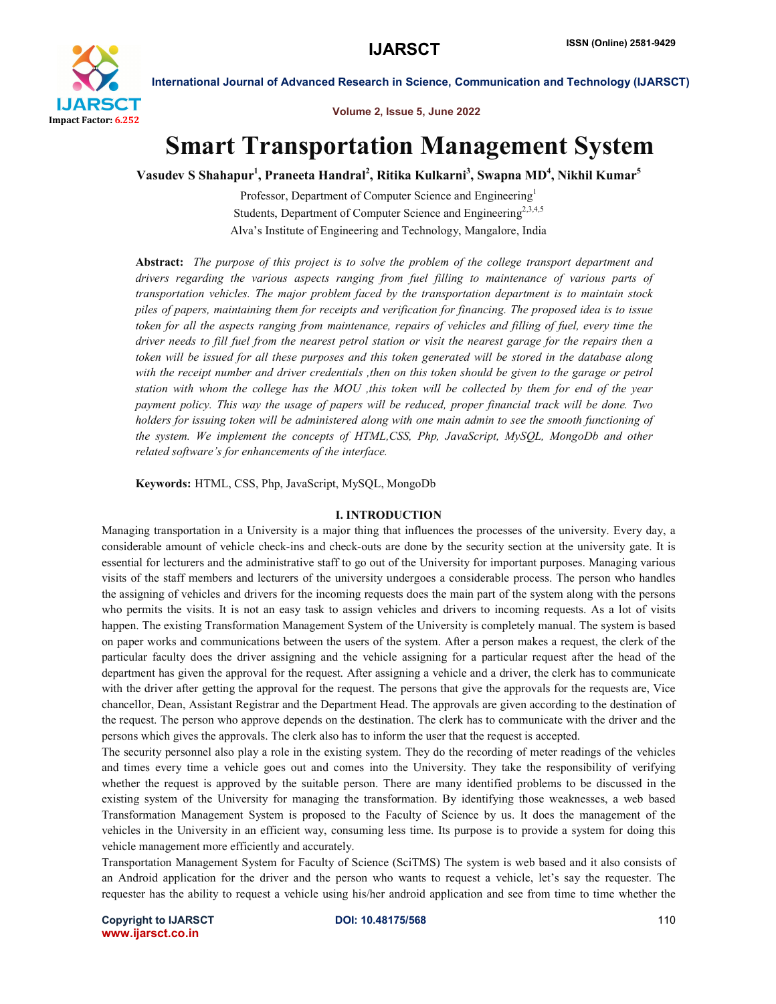

Volume 2, Issue 5, June 2022

International Journal of Advanced Research in Science, Communication and Technology (IJARSCT)

# Smart Transportation Management System

Vasudev S Shahapur<sup>1</sup>, Praneeta Handral<sup>2</sup>, Ritika Kulkarni<sup>3</sup>, Swapna MD<sup>4</sup>, Nikhil Kumar<sup>5</sup>

Professor, Department of Computer Science and Engineering<sup>1</sup> Students, Department of Computer Science and Engineering<sup>2,3,4,5</sup> Alva's Institute of Engineering and Technology, Mangalore, India

Abstract: *The purpose of this project is to solve the problem of the college transport department and drivers regarding the various aspects ranging from fuel filling to maintenance of various parts of transportation vehicles. The major problem faced by the transportation department is to maintain stock piles of papers, maintaining them for receipts and verification for financing. The proposed idea is to issue token for all the aspects ranging from maintenance, repairs of vehicles and filling of fuel, every time the driver needs to fill fuel from the nearest petrol station or visit the nearest garage for the repairs then a token will be issued for all these purposes and this token generated will be stored in the database along with the receipt number and driver credentials ,then on this token should be given to the garage or petrol station with whom the college has the MOU ,this token will be collected by them for end of the year payment policy. This way the usage of papers will be reduced, proper financial track will be done. Two holders for issuing token will be administered along with one main admin to see the smooth functioning of the system. We implement the concepts of HTML,CSS, Php, JavaScript, MySQL, MongoDb and other related software's for enhancements of the interface.*

Keywords: HTML, CSS, Php, JavaScript, MySQL, MongoDb

#### I. INTRODUCTION

Managing transportation in a University is a major thing that influences the processes of the university. Every day, a considerable amount of vehicle check-ins and check-outs are done by the security section at the university gate. It is essential for lecturers and the administrative staff to go out of the University for important purposes. Managing various visits of the staff members and lecturers of the university undergoes a considerable process. The person who handles the assigning of vehicles and drivers for the incoming requests does the main part of the system along with the persons who permits the visits. It is not an easy task to assign vehicles and drivers to incoming requests. As a lot of visits happen. The existing Transformation Management System of the University is completely manual. The system is based on paper works and communications between the users of the system. After a person makes a request, the clerk of the particular faculty does the driver assigning and the vehicle assigning for a particular request after the head of the department has given the approval for the request. After assigning a vehicle and a driver, the clerk has to communicate with the driver after getting the approval for the request. The persons that give the approvals for the requests are, Vice chancellor, Dean, Assistant Registrar and the Department Head. The approvals are given according to the destination of the request. The person who approve depends on the destination. The clerk has to communicate with the driver and the persons which gives the approvals. The clerk also has to inform the user that the request is accepted.

The security personnel also play a role in the existing system. They do the recording of meter readings of the vehicles and times every time a vehicle goes out and comes into the University. They take the responsibility of verifying whether the request is approved by the suitable person. There are many identified problems to be discussed in the existing system of the University for managing the transformation. By identifying those weaknesses, a web based Transformation Management System is proposed to the Faculty of Science by us. It does the management of the vehicles in the University in an efficient way, consuming less time. Its purpose is to provide a system for doing this vehicle management more efficiently and accurately.

Transportation Management System for Faculty of Science (SciTMS) The system is web based and it also consists of an Android application for the driver and the person who wants to request a vehicle, let's say the requester. The requester has the ability to request a vehicle using his/her android application and see from time to time whether the

**Copyright to IJARSCT 110 DOI: 10.48175/568 110** www.ijarsct.co.in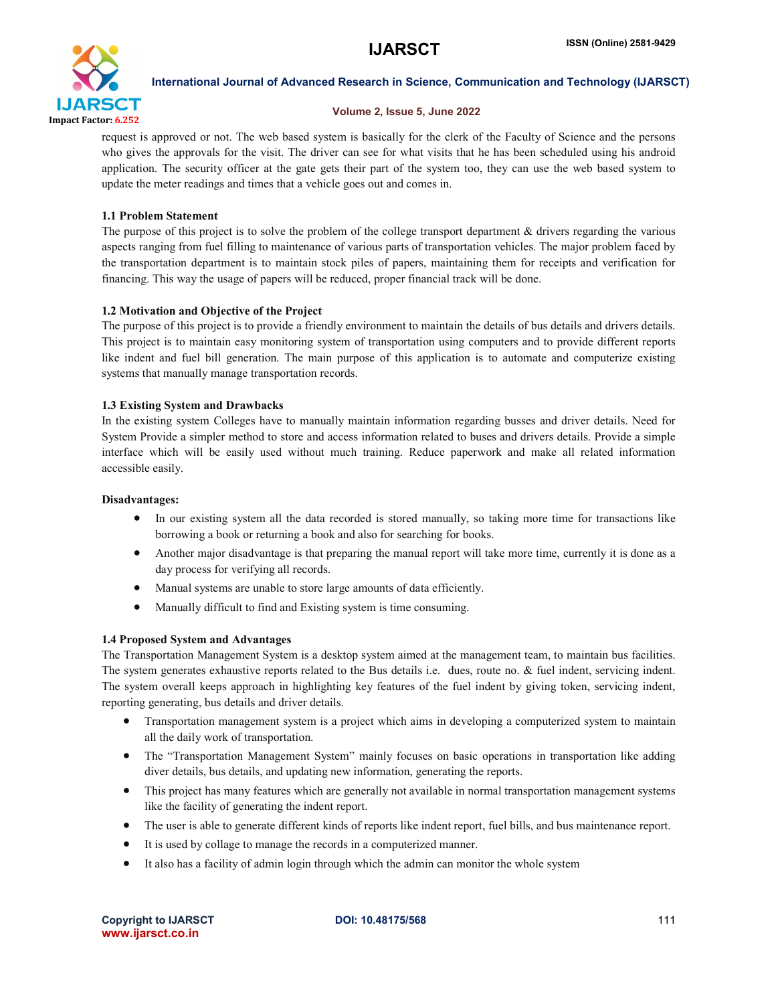

#### Volume 2, Issue 5, June 2022

request is approved or not. The web based system is basically for the clerk of the Faculty of Science and the persons who gives the approvals for the visit. The driver can see for what visits that he has been scheduled using his android application. The security officer at the gate gets their part of the system too, they can use the web based system to update the meter readings and times that a vehicle goes out and comes in.

## 1.1 Problem Statement

The purpose of this project is to solve the problem of the college transport department  $\&$  drivers regarding the various aspects ranging from fuel filling to maintenance of various parts of transportation vehicles. The major problem faced by the transportation department is to maintain stock piles of papers, maintaining them for receipts and verification for financing. This way the usage of papers will be reduced, proper financial track will be done.

# 1.2 Motivation and Objective of the Project

The purpose of this project is to provide a friendly environment to maintain the details of bus details and drivers details. This project is to maintain easy monitoring system of transportation using computers and to provide different reports like indent and fuel bill generation. The main purpose of this application is to automate and computerize existing systems that manually manage transportation records.

## 1.3 Existing System and Drawbacks

In the existing system Colleges have to manually maintain information regarding busses and driver details. Need for System Provide a simpler method to store and access information related to buses and drivers details. Provide a simple interface which will be easily used without much training. Reduce paperwork and make all related information accessible easily.

#### Disadvantages:

- In our existing system all the data recorded is stored manually, so taking more time for transactions like borrowing a book or returning a book and also for searching for books.
- Another major disadvantage is that preparing the manual report will take more time, currently it is done as a day process for verifying all records.
- Manual systems are unable to store large amounts of data efficiently.
- Manually difficult to find and Existing system is time consuming.

#### 1.4 Proposed System and Advantages

The Transportation Management System is a desktop system aimed at the management team, to maintain bus facilities. The system generates exhaustive reports related to the Bus details i.e. dues, route no. & fuel indent, servicing indent. The system overall keeps approach in highlighting key features of the fuel indent by giving token, servicing indent, reporting generating, bus details and driver details.

- Transportation management system is a project which aims in developing a computerized system to maintain all the daily work of transportation.
- The "Transportation Management System" mainly focuses on basic operations in transportation like adding diver details, bus details, and updating new information, generating the reports.
- This project has many features which are generally not available in normal transportation management systems like the facility of generating the indent report.
- The user is able to generate different kinds of reports like indent report, fuel bills, and bus maintenance report.
- It is used by collage to manage the records in a computerized manner.
- It also has a facility of admin login through which the admin can monitor the whole system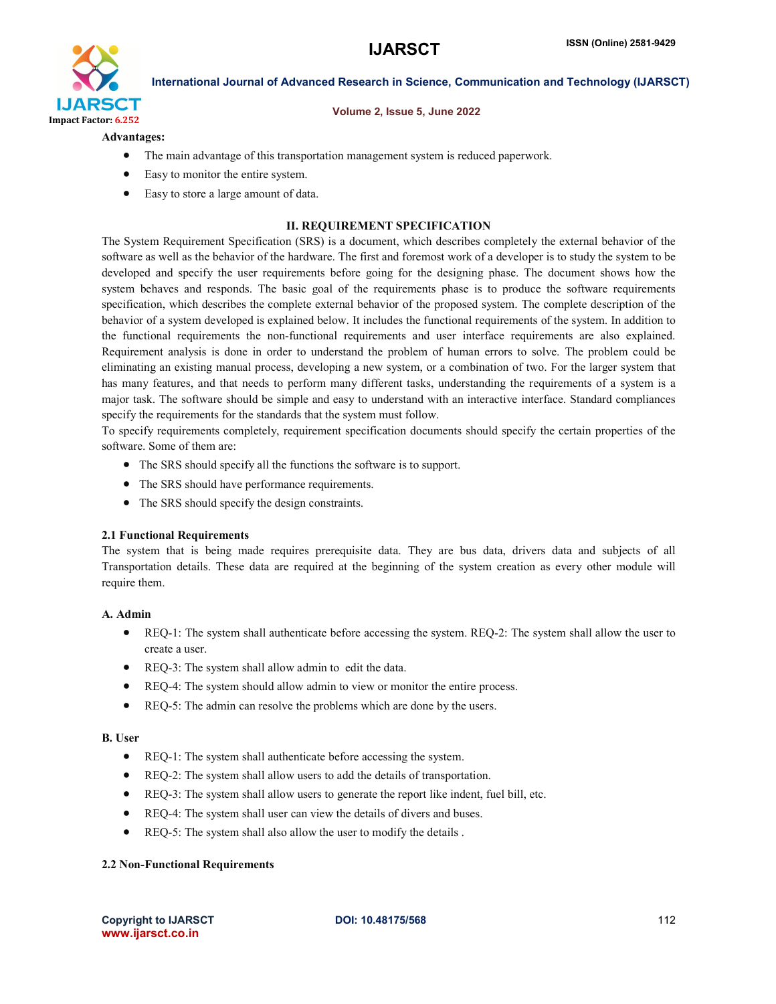

#### Volume 2, Issue 5, June 2022

#### Advantages:

- The main advantage of this transportation management system is reduced paperwork.
- Easy to monitor the entire system.
- Easy to store a large amount of data.

#### II. REQUIREMENT SPECIFICATION

The System Requirement Specification (SRS) is a document, which describes completely the external behavior of the software as well as the behavior of the hardware. The first and foremost work of a developer is to study the system to be developed and specify the user requirements before going for the designing phase. The document shows how the system behaves and responds. The basic goal of the requirements phase is to produce the software requirements specification, which describes the complete external behavior of the proposed system. The complete description of the behavior of a system developed is explained below. It includes the functional requirements of the system. In addition to the functional requirements the non-functional requirements and user interface requirements are also explained. Requirement analysis is done in order to understand the problem of human errors to solve. The problem could be eliminating an existing manual process, developing a new system, or a combination of two. For the larger system that has many features, and that needs to perform many different tasks, understanding the requirements of a system is a major task. The software should be simple and easy to understand with an interactive interface. Standard compliances specify the requirements for the standards that the system must follow.

To specify requirements completely, requirement specification documents should specify the certain properties of the software. Some of them are:

- The SRS should specify all the functions the software is to support.
- The SRS should have performance requirements.
- The SRS should specify the design constraints.

#### 2.1 Functional Requirements

The system that is being made requires prerequisite data. They are bus data, drivers data and subjects of all Transportation details. These data are required at the beginning of the system creation as every other module will require them.

#### A. Admin

- REQ-1: The system shall authenticate before accessing the system. REQ-2: The system shall allow the user to create a user.
- REQ-3: The system shall allow admin to edit the data.
- REQ-4: The system should allow admin to view or monitor the entire process.
- REQ-5: The admin can resolve the problems which are done by the users.

#### B. User

- REQ-1: The system shall authenticate before accessing the system.
- REQ-2: The system shall allow users to add the details of transportation.
- REQ-3: The system shall allow users to generate the report like indent, fuel bill, etc.
- REQ-4: The system shall user can view the details of divers and buses.
- REQ-5: The system shall also allow the user to modify the details.

#### 2.2 Non-Functional Requirements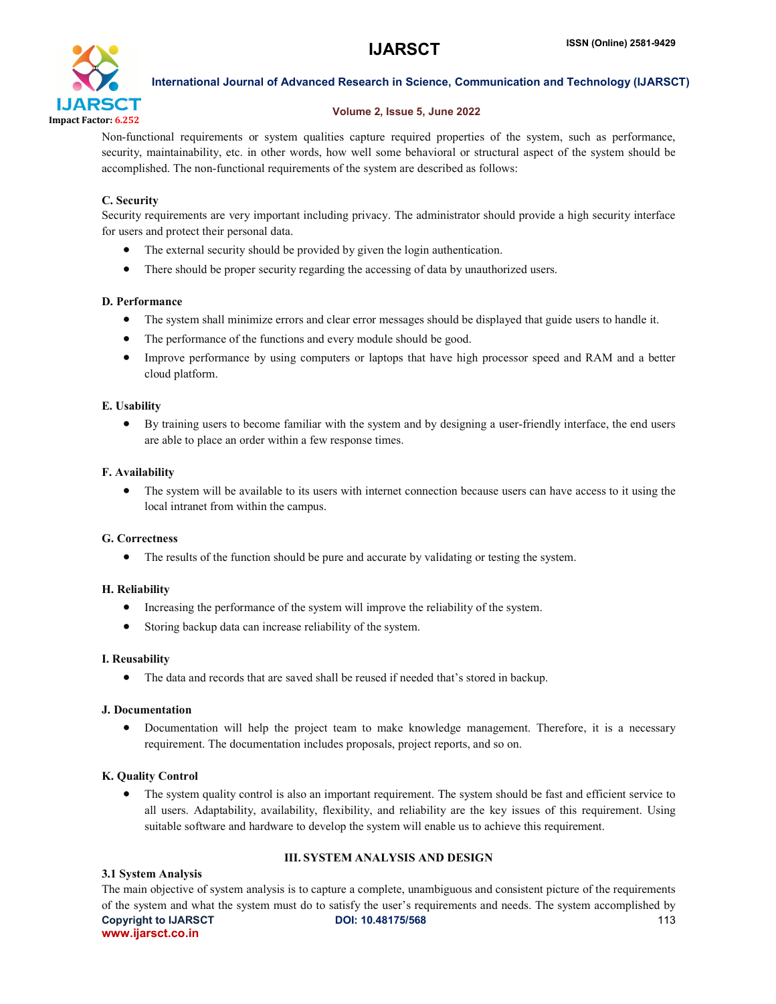

# Volume 2, Issue 5, June 2022

Non-functional requirements or system qualities capture required properties of the system, such as performance, security, maintainability, etc. in other words, how well some behavioral or structural aspect of the system should be accomplished. The non-functional requirements of the system are described as follows:

# C. Security

Security requirements are very important including privacy. The administrator should provide a high security interface for users and protect their personal data.

- The external security should be provided by given the login authentication.
- There should be proper security regarding the accessing of data by unauthorized users.

# D. Performance

- The system shall minimize errors and clear error messages should be displayed that guide users to handle it.
- The performance of the functions and every module should be good.
- Improve performance by using computers or laptops that have high processor speed and RAM and a better cloud platform.

# E. Usability

 By training users to become familiar with the system and by designing a user-friendly interface, the end users are able to place an order within a few response times.

# F. Availability

• The system will be available to its users with internet connection because users can have access to it using the local intranet from within the campus.

# G. Correctness

The results of the function should be pure and accurate by validating or testing the system.

# H. Reliability

- Increasing the performance of the system will improve the reliability of the system.
- Storing backup data can increase reliability of the system.

# I. Reusability

The data and records that are saved shall be reused if needed that's stored in backup.

# J. Documentation

 Documentation will help the project team to make knowledge management. Therefore, it is a necessary requirement. The documentation includes proposals, project reports, and so on.

# K. Quality Control

• The system quality control is also an important requirement. The system should be fast and efficient service to all users. Adaptability, availability, flexibility, and reliability are the key issues of this requirement. Using suitable software and hardware to develop the system will enable us to achieve this requirement.

# III. SYSTEM ANALYSIS AND DESIGN

#### 3.1 System Analysis

**Copyright to IJARSCT 113 DOI: 10.48175/568 113** www.ijarsct.co.in The main objective of system analysis is to capture a complete, unambiguous and consistent picture of the requirements of the system and what the system must do to satisfy the user's requirements and needs. The system accomplished by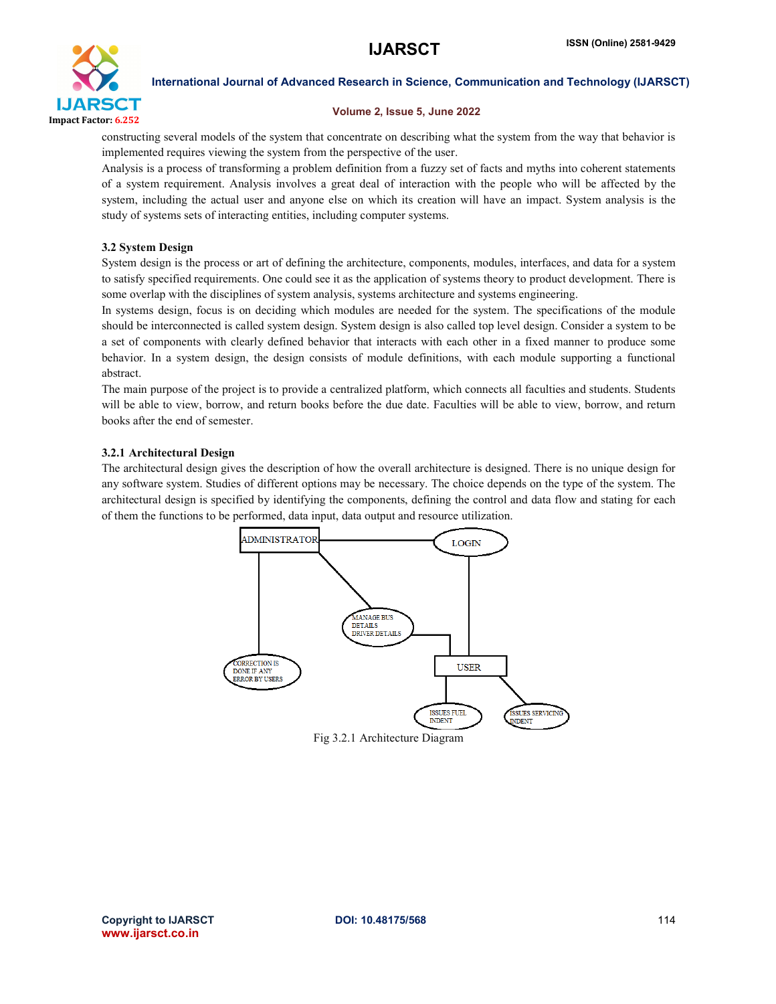

#### Volume 2, Issue 5, June 2022

constructing several models of the system that concentrate on describing what the system from the way that behavior is implemented requires viewing the system from the perspective of the user.

Analysis is a process of transforming a problem definition from a fuzzy set of facts and myths into coherent statements of a system requirement. Analysis involves a great deal of interaction with the people who will be affected by the system, including the actual user and anyone else on which its creation will have an impact. System analysis is the study of systems sets of interacting entities, including computer systems.

## 3.2 System Design

System design is the process or art of defining the architecture, components, modules, interfaces, and data for a system to satisfy specified requirements. One could see it as the application of systems theory to product development. There is some overlap with the disciplines of system analysis, systems architecture and systems engineering.

In systems design, focus is on deciding which modules are needed for the system. The specifications of the module should be interconnected is called system design. System design is also called top level design. Consider a system to be a set of components with clearly defined behavior that interacts with each other in a fixed manner to produce some behavior. In a system design, the design consists of module definitions, with each module supporting a functional abstract.

The main purpose of the project is to provide a centralized platform, which connects all faculties and students. Students will be able to view, borrow, and return books before the due date. Faculties will be able to view, borrow, and return books after the end of semester.

## 3.2.1 Architectural Design

The architectural design gives the description of how the overall architecture is designed. There is no unique design for any software system. Studies of different options may be necessary. The choice depends on the type of the system. The architectural design is specified by identifying the components, defining the control and data flow and stating for each of them the functions to be performed, data input, data output and resource utilization.



Fig 3.2.1 Architecture Diagram